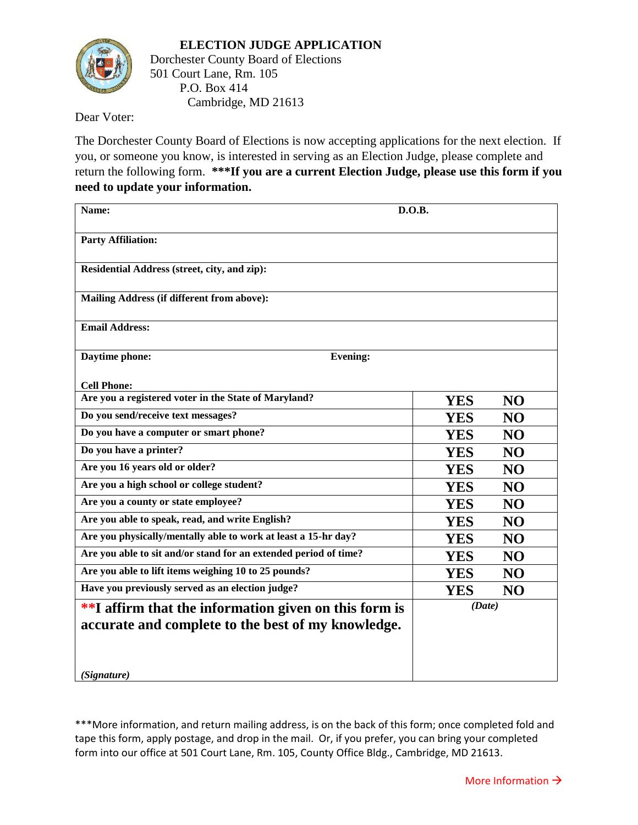

501 Court Lane, Rm. 105 P.O. Box 414 Cambridge, MD 21613

Dear Voter:

The Dorchester County Board of Elections is now accepting applications for the next election. If you, or someone you know, is interested in serving as an Election Judge, please complete and return the following form. **\*\*\*If you are a current Election Judge, please use this form if you need to update your information.**

| Name:                                                                                                       | D.O.B.                       |
|-------------------------------------------------------------------------------------------------------------|------------------------------|
| <b>Party Affiliation:</b>                                                                                   |                              |
| Residential Address (street, city, and zip):                                                                |                              |
| Mailing Address (if different from above):                                                                  |                              |
| <b>Email Address:</b>                                                                                       |                              |
| Daytime phone:<br><b>Evening:</b>                                                                           |                              |
| <b>Cell Phone:</b>                                                                                          |                              |
| Are you a registered voter in the State of Maryland?                                                        | <b>YES</b><br>N <sub>O</sub> |
| Do you send/receive text messages?                                                                          | <b>YES</b><br><b>NO</b>      |
| Do you have a computer or smart phone?                                                                      | <b>YES</b><br>N <sub>O</sub> |
| Do you have a printer?                                                                                      | <b>YES</b><br>N <sub>O</sub> |
| Are you 16 years old or older?                                                                              | <b>NO</b><br><b>YES</b>      |
| Are you a high school or college student?                                                                   | <b>YES</b><br>N <sub>O</sub> |
| Are you a county or state employee?                                                                         | <b>YES</b><br>N <sub>O</sub> |
| Are you able to speak, read, and write English?                                                             | <b>NO</b><br><b>YES</b>      |
| Are you physically/mentally able to work at least a 15-hr day?                                              | <b>YES</b><br>N <sub>O</sub> |
| Are you able to sit and/or stand for an extended period of time?                                            | <b>YES</b><br>N <sub>O</sub> |
| Are you able to lift items weighing 10 to 25 pounds?                                                        | <b>NO</b><br><b>YES</b>      |
| Have you previously served as an election judge?                                                            | <b>YES</b><br>N <sub>O</sub> |
| **I affirm that the information given on this form is<br>accurate and complete to the best of my knowledge. | (Date)                       |
| (Signature)                                                                                                 |                              |

\*\*\*More information, and return mailing address, is on the back of this form; once completed fold and tape this form, apply postage, and drop in the mail. Or, if you prefer, you can bring your completed form into our office at 501 Court Lane, Rm. 105, County Office Bldg., Cambridge, MD 21613.